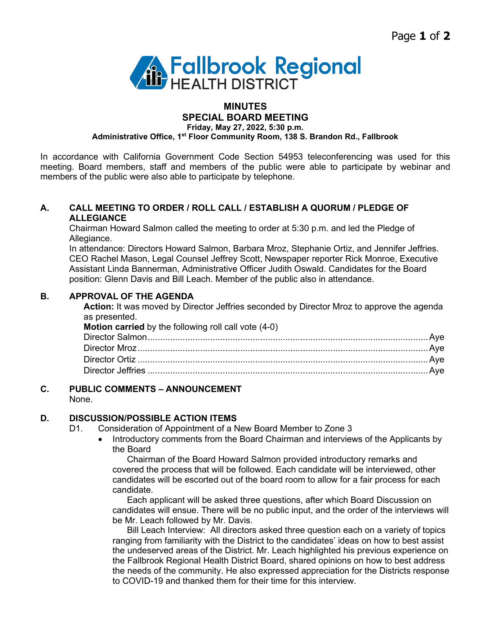

### **MINUTES SPECIAL BOARD MEETING**

**Friday, May 27, 2022, 5:30 p.m.**

**Administrative Office, 1st Floor Community Room, 138 S. Brandon Rd., Fallbrook**

In accordance with California Government Code Section 54953 teleconferencing was used for this meeting. Board members, staff and members of the public were able to participate by webinar and members of the public were also able to participate by telephone.

## **A. CALL MEETING TO ORDER / ROLL CALL / ESTABLISH A QUORUM / PLEDGE OF ALLEGIANCE**

Chairman Howard Salmon called the meeting to order at 5:30 p.m. and led the Pledge of Allegiance.

In attendance: Directors Howard Salmon, Barbara Mroz, Stephanie Ortiz, and Jennifer Jeffries. CEO Rachel Mason, Legal Counsel Jeffrey Scott, Newspaper reporter Rick Monroe, Executive Assistant Linda Bannerman, Administrative Officer Judith Oswald. Candidates for the Board position: Glenn Davis and Bill Leach. Member of the public also in attendance.

## **B. APPROVAL OF THE AGENDA**

**Action:** It was moved by Director Jeffries seconded by Director Mroz to approve the agenda as presented.

| <b>Motion carried</b> by the following roll call vote (4-0) |  |
|-------------------------------------------------------------|--|
|                                                             |  |
|                                                             |  |
|                                                             |  |
|                                                             |  |
|                                                             |  |

# **C. PUBLIC COMMENTS – ANNOUNCEMENT**

None.

## **D. DISCUSSION/POSSIBLE ACTION ITEMS**

- D1. Consideration of Appointment of a New Board Member to Zone 3
	- Introductory comments from the Board Chairman and interviews of the Applicants by the Board

Chairman of the Board Howard Salmon provided introductory remarks and covered the process that will be followed. Each candidate will be interviewed, other candidates will be escorted out of the board room to allow for a fair process for each candidate.

Each applicant will be asked three questions, after which Board Discussion on candidates will ensue. There will be no public input, and the order of the interviews will be Mr. Leach followed by Mr. Davis.

Bill Leach Interview: All directors asked three question each on a variety of topics ranging from familiarity with the District to the candidates' ideas on how to best assist the undeserved areas of the District. Mr. Leach highlighted his previous experience on the Fallbrook Regional Health District Board, shared opinions on how to best address the needs of the community. He also expressed appreciation for the Districts response to COVID-19 and thanked them for their time for this interview.